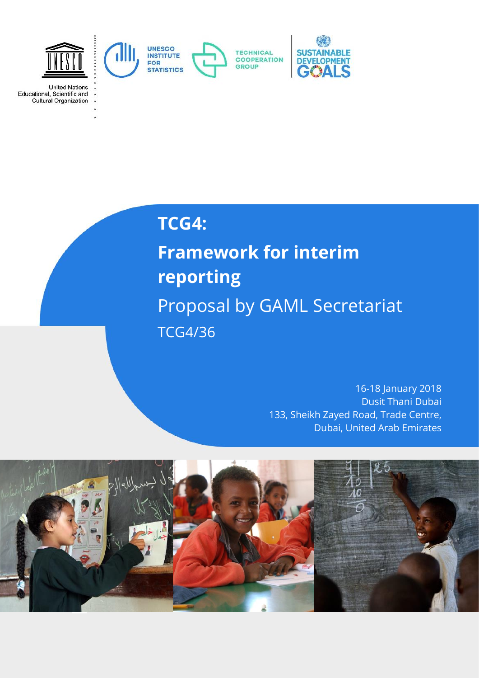

**United Nations** 

United Nations<br>Educational, Scientific and<br>Cultural Organization

**TCG4:**

**Framework for interim reporting**  Proposal by GAML Secretariat TCG4/36

> 16-18 January 2018 Dusit Thani Dubai 133, Sheikh Zayed Road, Trade Centre, Dubai, United Arab Emirates

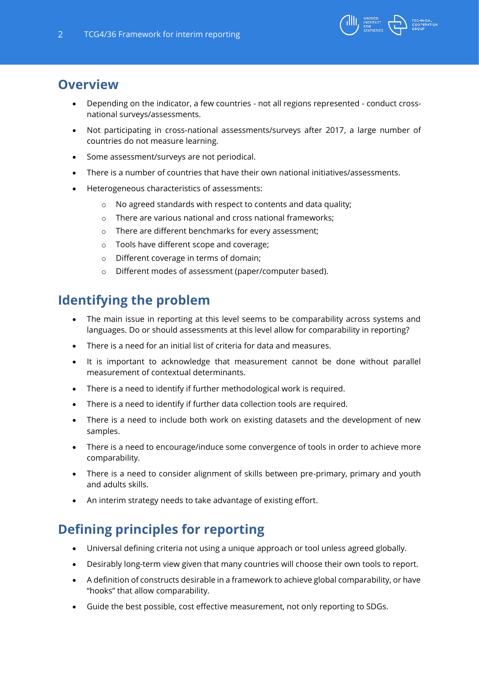

## **Overview**

- Depending on the indicator, a few countries not all regions represented conduct crossnational surveys/assessments.
- Not participating in cross-national assessments/surveys after 2017, a large number of countries do not measure learning.
- Some assessment/surveys are not periodical.
- There is a number of countries that have their own national initiatives/assessments.
- Heterogeneous characteristics of assessments:
	- o No agreed standards with respect to contents and data quality;
	- o There are various national and cross national frameworks;
	- o There are different benchmarks for every assessment;
	- o Tools have different scope and coverage;
	- o Different coverage in terms of domain;
	- o Different modes of assessment (paper/computer based).

# **Identifying the problem**

- The main issue in reporting at this level seems to be comparability across systems and languages. Do or should assessments at this level allow for comparability in reporting?
- There is a need for an initial list of criteria for data and measures.
- It is important to acknowledge that measurement cannot be done without parallel measurement of contextual determinants.
- There is a need to identify if further methodological work is required.
- There is a need to identify if further data collection tools are required.
- There is a need to include both work on existing datasets and the development of new samples.
- There is a need to encourage/induce some convergence of tools in order to achieve more comparability.
- There is a need to consider alignment of skills between pre-primary, primary and youth and adults skills.
- An interim strategy needs to take advantage of existing effort.

# **Defining principles for reporting**

- Universal defining criteria not using a unique approach or tool unless agreed globally.
- Desirably long-term view given that many countries will choose their own tools to report.
- A definition of constructs desirable in a framework to achieve global comparability, or have "hooks" that allow comparability.
- Guide the best possible, cost effective measurement, not only reporting to SDGs.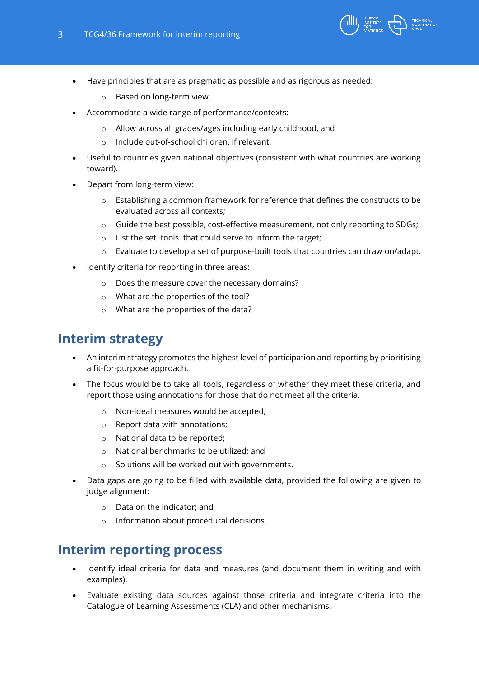

- Have principles that are as pragmatic as possible and as rigorous as needed:
	- o Based on long-term view.
- Accommodate a wide range of performance/contexts:
	- o Allow across all grades/ages including early childhood, and
	- Include out-of-school children, if relevant.
- Useful to countries given national objectives (consistent with what countries are working toward).
- Depart from long-term view:
	- $\circ$  Establishing a common framework for reference that defines the constructs to be evaluated across all contexts;
	- o Guide the best possible, cost-effective measurement, not only reporting to SDGs;
	- o List the set tools that could serve to inform the target;
	- $\circ$  Evaluate to develop a set of purpose-built tools that countries can draw on/adapt.
- Identify criteria for reporting in three areas:
	- o Does the measure cover the necessary domains?
	- o What are the properties of the tool?
	- o What are the properties of the data?

#### **Interim strategy**

- An interim strategy promotes the highest level of participation and reporting by prioritising a fit-for-purpose approach.
- The focus would be to take all tools, regardless of whether they meet these criteria, and report those using annotations for those that do not meet all the criteria.
	- o Non-ideal measures would be accepted;
	- o Report data with annotations;
	- o National data to be reported;
	- o National benchmarks to be utilized; and
	- Solutions will be worked out with governments.
- Data gaps are going to be filled with available data, provided the following are given to judge alignment:
	- o Data on the indicator; and
	- o Information about procedural decisions.

#### **Interim reporting process**

- Identify ideal criteria for data and measures (and document them in writing and with examples).
- Evaluate existing data sources against those criteria and integrate criteria into the Catalogue of Learning Assessments (CLA) and other mechanisms.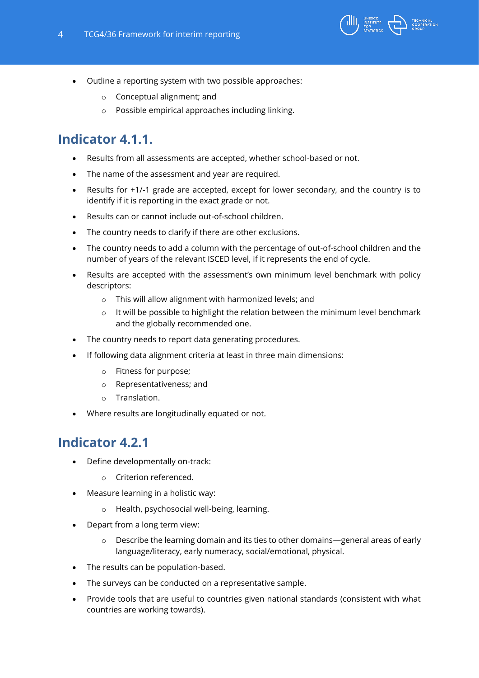

- Outline a reporting system with two possible approaches:
	- o Conceptual alignment; and
	- o Possible empirical approaches including linking.

# **Indicator 4.1.1.**

- Results from all assessments are accepted, whether school-based or not.
- The name of the assessment and year are required.
- Results for +1/-1 grade are accepted, except for lower secondary, and the country is to identify if it is reporting in the exact grade or not.
- Results can or cannot include out-of-school children.
- The country needs to clarify if there are other exclusions.
- The country needs to add a column with the percentage of out-of-school children and the number of years of the relevant ISCED level, if it represents the end of cycle.
- Results are accepted with the assessment's own minimum level benchmark with policy descriptors:
	- o This will allow alignment with harmonized levels; and
	- o It will be possible to highlight the relation between the minimum level benchmark and the globally recommended one.
- The country needs to report data generating procedures.
- If following data alignment criteria at least in three main dimensions:
	- o Fitness for purpose;
	- o Representativeness; and
	- o Translation.
- Where results are longitudinally equated or not.

#### **Indicator 4.2.1**

- Define developmentally on-track:
	- o Criterion referenced.
- Measure learning in a holistic way:
	- o Health, psychosocial well-being, learning.
- Depart from a long term view:
	- $\circ$  Describe the learning domain and its ties to other domains—general areas of early language/literacy, early numeracy, social/emotional, physical.
- The results can be population-based.
- The surveys can be conducted on a representative sample.
- Provide tools that are useful to countries given national standards (consistent with what countries are working towards).